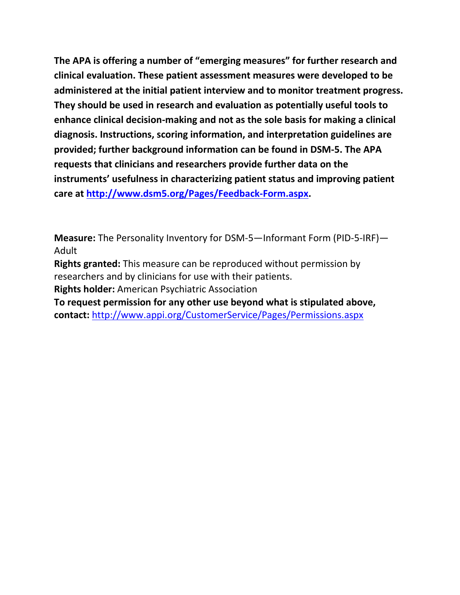**The APA is offering a number of "emerging measures" for further research and clinical evaluation. These patient assessment measures were developed to be administered at the initial patient interview and to monitor treatment progress. They should be used in research and evaluation as potentially useful tools to enhance clinical decision-making and not as the sole basis for making a clinical diagnosis. Instructions, scoring information, and interpretation guidelines are provided; further background information can be found in DSM-5. The APA requests that clinicians and researchers provide further data on the instruments' usefulness in characterizing patient status and improving patient care at [http://www.dsm5.org/Pages/Feedback-Form.aspx.](http://www.dsm5.org/Pages/Feedback-Form.aspx)**

**Measure:** The Personality Inventory for DSM-5—Informant Form (PID-5-IRF)— Adult

**Rights granted:** This measure can be reproduced without permission by researchers and by clinicians for use with their patients.

**Rights holder:** American Psychiatric Association

**To request permission for any other use beyond what is stipulated above, contact:** <http://www.appi.org/CustomerService/Pages/Permissions.aspx>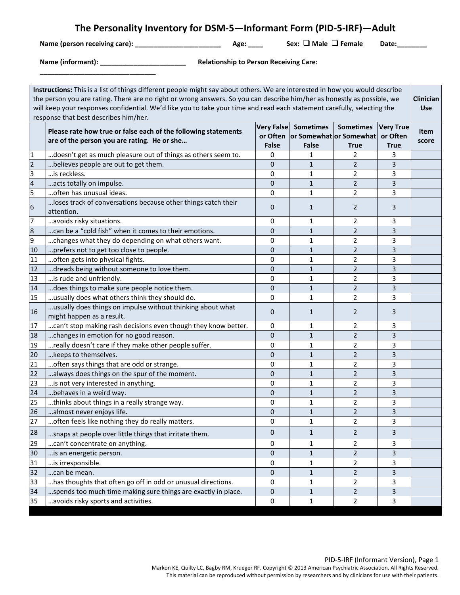# **The Personality Inventory for DSM-5—Informant Form (PID-5-IRF)—Adult**

**Name (person receiving care): \_\_\_\_\_\_\_\_\_\_\_\_\_\_\_\_\_\_\_\_\_\_\_ Age: \_\_\_\_ Sex: Male Female Date:\_\_\_\_\_\_\_\_**

**\_\_\_\_\_\_\_\_\_\_\_\_\_\_\_\_\_\_\_\_\_\_\_\_\_\_\_\_\_\_\_**

**Name (informant): \_\_\_\_\_\_\_\_\_\_\_\_\_\_\_\_\_\_\_\_\_\_\_ Relationship to Person Receiving Care:**

| Instructions: This is a list of things different people might say about others. We are interested in how you would describe<br>the person you are rating. There are no right or wrong answers. So you can describe him/her as honestly as possible, we<br>Clinician<br>will keep your responses confidential. We'd like you to take your time and read each statement carefully, selecting the<br>response that best describes him/her. |                                                                                                               |                                   |                                                                      |                                 |                                             |                      |
|-----------------------------------------------------------------------------------------------------------------------------------------------------------------------------------------------------------------------------------------------------------------------------------------------------------------------------------------------------------------------------------------------------------------------------------------|---------------------------------------------------------------------------------------------------------------|-----------------------------------|----------------------------------------------------------------------|---------------------------------|---------------------------------------------|----------------------|
|                                                                                                                                                                                                                                                                                                                                                                                                                                         | Please rate how true or false each of the following statements<br>are of the person you are rating. He or she | <b>Very False</b><br><b>False</b> | <b>Sometimes</b><br>or Often or Somewhat or Somewhat<br><b>False</b> | <b>Sometimes</b><br><b>True</b> | <b>Very True</b><br>or Often<br><b>True</b> | <b>Item</b><br>score |
| $\mathbf{1}$                                                                                                                                                                                                                                                                                                                                                                                                                            | doesn't get as much pleasure out of things as others seem to.                                                 | 0                                 | 1                                                                    | 2                               | 3                                           |                      |
| $\overline{2}$                                                                                                                                                                                                                                                                                                                                                                                                                          | believes people are out to get them.                                                                          | 0                                 | 1                                                                    | $\overline{2}$                  | $\mathsf{3}$                                |                      |
| $\overline{\mathbf{3}}$                                                                                                                                                                                                                                                                                                                                                                                                                 | is reckless.                                                                                                  | 0                                 | $\mathbf{1}$                                                         | $\overline{2}$                  | 3                                           |                      |
| $\frac{4}{5}$                                                                                                                                                                                                                                                                                                                                                                                                                           | acts totally on impulse.                                                                                      | $\pmb{0}$                         | $\mathbf{1}$                                                         | $\overline{2}$                  | $\overline{\mathbf{3}}$                     |                      |
|                                                                                                                                                                                                                                                                                                                                                                                                                                         | often has unusual ideas.                                                                                      | 0                                 | $\mathbf{1}$                                                         | $\overline{2}$                  | 3                                           |                      |
| $\boldsymbol{6}$                                                                                                                                                                                                                                                                                                                                                                                                                        | loses track of conversations because other things catch their<br>attention.                                   | 0                                 | $\mathbf{1}$                                                         | $\overline{2}$                  | 3                                           |                      |
| 7                                                                                                                                                                                                                                                                                                                                                                                                                                       | avoids risky situations.                                                                                      | 0                                 | $\mathbf{1}$                                                         | $\overline{2}$                  | 3                                           |                      |
| $\frac{8}{9}$                                                                                                                                                                                                                                                                                                                                                                                                                           | can be a "cold fish" when it comes to their emotions.                                                         | $\mathbf{0}$                      | $\mathbf{1}$                                                         | $\overline{2}$                  | 3                                           |                      |
|                                                                                                                                                                                                                                                                                                                                                                                                                                         | changes what they do depending on what others want.                                                           | 0                                 | 1                                                                    | $\overline{2}$                  | 3                                           |                      |
| 10                                                                                                                                                                                                                                                                                                                                                                                                                                      | prefers not to get too close to people.                                                                       | 0                                 | 1                                                                    | $\overline{2}$                  | $\mathsf 3$                                 |                      |
| 11                                                                                                                                                                                                                                                                                                                                                                                                                                      | often gets into physical fights.                                                                              | 0                                 | $\mathbf{1}$                                                         | $\overline{2}$                  | 3                                           |                      |
| 12                                                                                                                                                                                                                                                                                                                                                                                                                                      | dreads being without someone to love them.                                                                    | $\pmb{0}$                         | $\mathbf{1}$                                                         | $\overline{2}$                  | $\mathsf 3$                                 |                      |
| 13                                                                                                                                                                                                                                                                                                                                                                                                                                      | is rude and unfriendly.                                                                                       | 0                                 | 1                                                                    | 2                               | 3                                           |                      |
| 14                                                                                                                                                                                                                                                                                                                                                                                                                                      | does things to make sure people notice them.                                                                  | 0                                 | $\mathbf{1}$                                                         | $\overline{2}$                  | 3                                           |                      |
| 15                                                                                                                                                                                                                                                                                                                                                                                                                                      | usually does what others think they should do.                                                                | 0                                 | $\mathbf{1}$                                                         | $\overline{2}$                  | 3                                           |                      |
| 16                                                                                                                                                                                                                                                                                                                                                                                                                                      | usually does things on impulse without thinking about what<br>might happen as a result.                       | 0                                 | 1                                                                    | $\overline{2}$                  | 3                                           |                      |
| 17                                                                                                                                                                                                                                                                                                                                                                                                                                      | can't stop making rash decisions even though they know better.                                                | 0                                 | $\mathbf{1}$                                                         | 2                               | 3                                           |                      |
| 18                                                                                                                                                                                                                                                                                                                                                                                                                                      | changes in emotion for no good reason.                                                                        | 0                                 | $\mathbf{1}$                                                         | $\overline{2}$                  | $\mathsf 3$                                 |                      |
| 19                                                                                                                                                                                                                                                                                                                                                                                                                                      | really doesn't care if they make other people suffer.                                                         | 0                                 | 1                                                                    | $\overline{2}$                  | 3                                           |                      |
| 20                                                                                                                                                                                                                                                                                                                                                                                                                                      | keeps to themselves.                                                                                          | 0                                 | 1                                                                    | $\overline{2}$                  | 3                                           |                      |
| 21                                                                                                                                                                                                                                                                                                                                                                                                                                      | often says things that are odd or strange.                                                                    | 0                                 | 1                                                                    | $\overline{2}$                  | 3                                           |                      |
| 22                                                                                                                                                                                                                                                                                                                                                                                                                                      | always does things on the spur of the moment.                                                                 | $\mathbf{0}$                      | $\mathbf{1}$                                                         | $\overline{2}$                  | 3                                           |                      |
| 23                                                                                                                                                                                                                                                                                                                                                                                                                                      | is not very interested in anything.                                                                           | 0                                 | 1                                                                    | $\overline{2}$                  | 3                                           |                      |
| 24                                                                                                                                                                                                                                                                                                                                                                                                                                      | behaves in a weird way.                                                                                       | $\mathbf{0}$                      | $\mathbf{1}$                                                         | $\overline{2}$                  | 3                                           |                      |
| 25                                                                                                                                                                                                                                                                                                                                                                                                                                      | thinks about things in a really strange way.                                                                  | 0                                 | 1                                                                    | 2                               | 3                                           |                      |
| 26                                                                                                                                                                                                                                                                                                                                                                                                                                      | almost never enjoys life.                                                                                     | $\mathbf 0$                       | $\mathbf{1}$                                                         | $\overline{2}$                  | $\mathsf{3}$                                |                      |
| 27                                                                                                                                                                                                                                                                                                                                                                                                                                      | often feels like nothing they do really matters.                                                              | 0                                 | 1                                                                    | 2                               | 3                                           |                      |
| 28                                                                                                                                                                                                                                                                                                                                                                                                                                      | snaps at people over little things that irritate them.                                                        | 0                                 | $\mathbf{1}$                                                         | $\overline{2}$                  | 3                                           |                      |
| 29                                                                                                                                                                                                                                                                                                                                                                                                                                      | can't concentrate on anything.                                                                                | 0                                 | 1                                                                    | 2                               | 3                                           |                      |
| 30                                                                                                                                                                                                                                                                                                                                                                                                                                      | is an energetic person.                                                                                       | 0                                 | 1                                                                    | 2                               | 3                                           |                      |
| 31                                                                                                                                                                                                                                                                                                                                                                                                                                      | is irresponsible.                                                                                             | 0                                 | 1                                                                    | 2                               | 3                                           |                      |
| 32                                                                                                                                                                                                                                                                                                                                                                                                                                      | can be mean.                                                                                                  | 0                                 | $\mathbf{1}$                                                         | $\overline{2}$                  | 3                                           |                      |
| 33                                                                                                                                                                                                                                                                                                                                                                                                                                      | has thoughts that often go off in odd or unusual directions.                                                  | 0                                 | 1                                                                    | 2                               | 3                                           |                      |
| 34                                                                                                                                                                                                                                                                                                                                                                                                                                      | spends too much time making sure things are exactly in place.                                                 | 0                                 | $\mathbf{1}$                                                         | $\overline{2}$                  | 3                                           |                      |
| 35                                                                                                                                                                                                                                                                                                                                                                                                                                      | avoids risky sports and activities.                                                                           | 0                                 | 1                                                                    | $\overline{2}$                  | 3                                           |                      |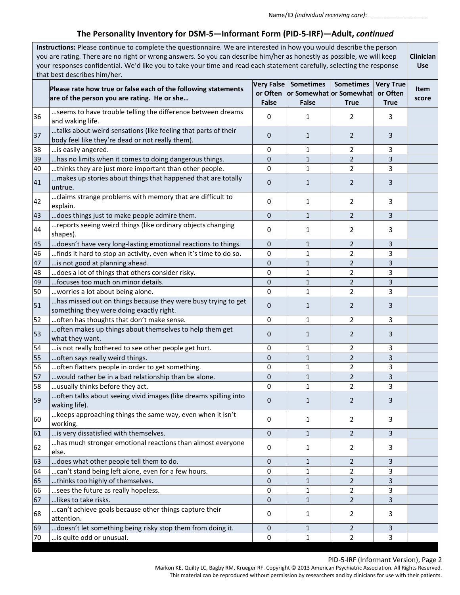Name/ID *(individual receiving care)*: \_\_\_\_\_\_\_\_\_\_\_\_\_\_\_\_\_

# **The Personality Inventory for DSM-5—Informant Form (PID-5-IRF)—Adult,** *continued*

|    | Instructions: Please continue to complete the questionnaire. We are interested in how you would describe the person<br>you are rating. There are no right or wrong answers. So you can describe him/her as honestly as possible, we will keep<br>your responses confidential. We'd like you to take your time and read each statement carefully, selecting the response<br>that best describes him/her. |                                        |                                  |                                                            |                                             |               |  |
|----|---------------------------------------------------------------------------------------------------------------------------------------------------------------------------------------------------------------------------------------------------------------------------------------------------------------------------------------------------------------------------------------------------------|----------------------------------------|----------------------------------|------------------------------------------------------------|---------------------------------------------|---------------|--|
|    | Please rate how true or false each of the following statements<br>are of the person you are rating. He or she                                                                                                                                                                                                                                                                                           | Very False<br>or Often<br><b>False</b> | <b>Sometimes</b><br><b>False</b> | <b>Sometimes</b><br>or Somewhat or Somewhat<br><b>True</b> | <b>Very True</b><br>or Often<br><b>True</b> | Item<br>score |  |
| 36 | seems to have trouble telling the difference between dreams<br>and waking life.                                                                                                                                                                                                                                                                                                                         | 0                                      | 1                                | 2                                                          | 3                                           |               |  |
| 37 | talks about weird sensations (like feeling that parts of their<br>body feel like they're dead or not really them).                                                                                                                                                                                                                                                                                      | $\mathbf{0}$                           | 1                                | 2                                                          | 3                                           |               |  |
| 38 | is easily angered.                                                                                                                                                                                                                                                                                                                                                                                      | 0                                      | 1                                | 2                                                          | 3                                           |               |  |
| 39 | has no limits when it comes to doing dangerous things.                                                                                                                                                                                                                                                                                                                                                  | $\mathbf{0}$                           | 1                                | 2                                                          | 3                                           |               |  |
| 40 | thinks they are just more important than other people.                                                                                                                                                                                                                                                                                                                                                  | 0                                      | 1                                | 2                                                          | 3                                           |               |  |
| 41 | makes up stories about things that happened that are totally<br>untrue.                                                                                                                                                                                                                                                                                                                                 | $\mathbf{0}$                           | 1                                | 2                                                          | 3                                           |               |  |
| 42 | claims strange problems with memory that are difficult to<br>explain.                                                                                                                                                                                                                                                                                                                                   | 0                                      | 1                                | 2                                                          | 3                                           |               |  |
| 43 | does things just to make people admire them.                                                                                                                                                                                                                                                                                                                                                            | $\mathbf{0}$                           | $\mathbf{1}$                     | $\overline{2}$                                             | 3                                           |               |  |
| 44 | reports seeing weird things (like ordinary objects changing<br>shapes).                                                                                                                                                                                                                                                                                                                                 | 0                                      | 1                                | 2                                                          | 3                                           |               |  |
| 45 | doesn't have very long-lasting emotional reactions to things.                                                                                                                                                                                                                                                                                                                                           | $\mathbf 0$                            | $\mathbf{1}$                     | $\overline{2}$                                             | 3                                           |               |  |
| 46 | finds it hard to stop an activity, even when it's time to do so.                                                                                                                                                                                                                                                                                                                                        | 0                                      | 1                                | 2                                                          | 3                                           |               |  |
| 47 | is not good at planning ahead.                                                                                                                                                                                                                                                                                                                                                                          | $\mathbf 0$                            | $\mathbf{1}$                     | $\overline{2}$                                             | 3                                           |               |  |
| 48 | does a lot of things that others consider risky.                                                                                                                                                                                                                                                                                                                                                        | 0                                      | 1                                | $\overline{2}$                                             | 3                                           |               |  |
| 49 | focuses too much on minor details.                                                                                                                                                                                                                                                                                                                                                                      | $\mathbf{0}$                           | $\mathbf{1}$                     | $\overline{2}$                                             | 3                                           |               |  |
| 50 | worries a lot about being alone.                                                                                                                                                                                                                                                                                                                                                                        | 0                                      | 1                                | $\overline{2}$                                             | 3                                           |               |  |
| 51 | has missed out on things because they were busy trying to get<br>something they were doing exactly right.                                                                                                                                                                                                                                                                                               | $\mathbf{0}$                           | $\mathbf{1}$                     | $\overline{2}$                                             | 3                                           |               |  |
| 52 | often has thoughts that don't make sense.                                                                                                                                                                                                                                                                                                                                                               | $\Omega$                               | 1                                | $\overline{2}$                                             | 3                                           |               |  |
| 53 | often makes up things about themselves to help them get<br>what they want.                                                                                                                                                                                                                                                                                                                              | $\mathbf{0}$                           | $\mathbf{1}$                     | 2                                                          | 3                                           |               |  |
| 54 | is not really bothered to see other people get hurt.                                                                                                                                                                                                                                                                                                                                                    | 0                                      | 1                                | 2                                                          | 3                                           |               |  |
| 55 | often says really weird things.                                                                                                                                                                                                                                                                                                                                                                         | 0                                      | 1                                | 2                                                          | 3                                           |               |  |
| 56 | often flatters people in order to get something.                                                                                                                                                                                                                                                                                                                                                        | 0                                      | 1                                | $\overline{2}$                                             | 3                                           |               |  |
| 57 | would rather be in a bad relationship than be alone.                                                                                                                                                                                                                                                                                                                                                    | $\pmb{0}$                              | $\mathbf{1}$                     | $\overline{2}$                                             | 3                                           |               |  |
| 58 | usually thinks before they act.                                                                                                                                                                                                                                                                                                                                                                         | $\Omega$                               | 1                                | $\overline{2}$                                             | 3                                           |               |  |
| 59 | often talks about seeing vivid images (like dreams spilling into<br>waking life).                                                                                                                                                                                                                                                                                                                       | $\mathbf 0$                            | $\mathbf{1}$                     | $\overline{2}$                                             | 3                                           |               |  |
| 60 | keeps approaching things the same way, even when it isn't<br>working.                                                                                                                                                                                                                                                                                                                                   | 0                                      | 1                                | 2                                                          | 3                                           |               |  |
| 61 | is very dissatisfied with themselves.                                                                                                                                                                                                                                                                                                                                                                   | $\mathbf{0}$                           | 1                                | $\overline{2}$                                             | 3                                           |               |  |
| 62 | has much stronger emotional reactions than almost everyone<br>else.                                                                                                                                                                                                                                                                                                                                     | 0                                      | 1                                | 2                                                          | 3                                           |               |  |
| 63 | does what other people tell them to do.                                                                                                                                                                                                                                                                                                                                                                 | 0                                      | $\mathbf{1}$                     | $\overline{2}$                                             | 3                                           |               |  |
| 64 | can't stand being left alone, even for a few hours.                                                                                                                                                                                                                                                                                                                                                     | 0                                      | 1                                | 2                                                          | 3                                           |               |  |
| 65 | thinks too highly of themselves.                                                                                                                                                                                                                                                                                                                                                                        | $\mathbf{0}$                           | 1                                | 2                                                          | 3                                           |               |  |
| 66 | sees the future as really hopeless.                                                                                                                                                                                                                                                                                                                                                                     | 0                                      | 1                                | 2                                                          | 3                                           |               |  |
| 67 | likes to take risks.                                                                                                                                                                                                                                                                                                                                                                                    | $\mathbf{0}$                           | $\mathbf{1}$                     | $\overline{2}$                                             | 3                                           |               |  |
| 68 | can't achieve goals because other things capture their<br>attention.                                                                                                                                                                                                                                                                                                                                    | 0                                      | 1                                | 2                                                          | 3                                           |               |  |
| 69 | doesn't let something being risky stop them from doing it.                                                                                                                                                                                                                                                                                                                                              | $\mathbf 0$                            | 1                                | $\overline{2}$                                             | 3                                           |               |  |
| 70 | is quite odd or unusual.                                                                                                                                                                                                                                                                                                                                                                                | 0                                      | 1                                | $\overline{2}$                                             | 3                                           |               |  |

#### PID-5-IRF (Informant Version), Page 2

Markon KE, Quilty LC, Bagby RM, Krueger RF. Copyright © 2013 American Psychiatric Association. All Rights Reserved. This material can be reproduced without permission by researchers and by clinicians for use with their patients.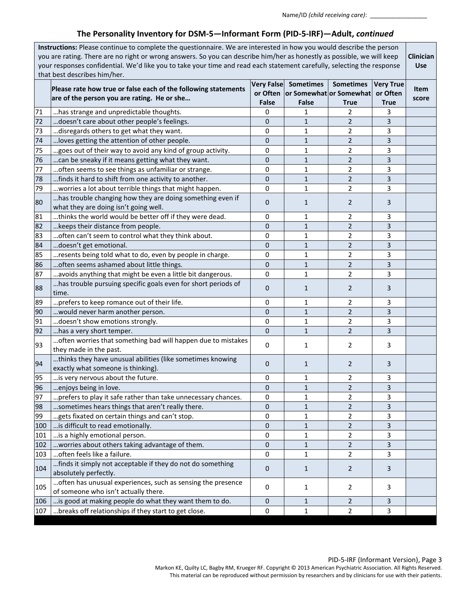Name/ID *(child receiving care)*: \_\_\_\_\_\_\_\_\_\_\_\_\_\_\_\_\_

# **The Personality Inventory for DSM-5—Informant Form (PID-5-IRF)—Adult,** *continued*

| Instructions: Please continue to complete the questionnaire. We are interested in how you would describe the person<br>you are rating. There are no right or wrong answers. So you can describe him/her as honestly as possible, we will keep<br>your responses confidential. We'd like you to take your time and read each statement carefully, selecting the response<br>that best describes him/her. |                                                                                                               |                  |                                                                          |                                 |                                             |               |
|---------------------------------------------------------------------------------------------------------------------------------------------------------------------------------------------------------------------------------------------------------------------------------------------------------------------------------------------------------------------------------------------------------|---------------------------------------------------------------------------------------------------------------|------------------|--------------------------------------------------------------------------|---------------------------------|---------------------------------------------|---------------|
|                                                                                                                                                                                                                                                                                                                                                                                                         | Please rate how true or false each of the following statements<br>are of the person you are rating. He or she | <b>False</b>     | Very False Sometimes<br>or Often or Somewhat or Somewhat<br><b>False</b> | <b>Sometimes</b><br><b>True</b> | <b>Very True</b><br>or Often<br><b>True</b> | Item<br>score |
| 71                                                                                                                                                                                                                                                                                                                                                                                                      | has strange and unpredictable thoughts.                                                                       | 0                | 1                                                                        | 2                               | 3                                           |               |
| 72                                                                                                                                                                                                                                                                                                                                                                                                      | doesn't care about other people's feelings.                                                                   | 0                | $\mathbf{1}$                                                             | $\overline{2}$                  | 3                                           |               |
| 73                                                                                                                                                                                                                                                                                                                                                                                                      | disregards others to get what they want.                                                                      | $\mathbf 0$      | 1                                                                        | $\overline{2}$                  | 3                                           |               |
| 74                                                                                                                                                                                                                                                                                                                                                                                                      | loves getting the attention of other people.                                                                  | 0                | $\mathbf{1}$                                                             | $\overline{2}$                  | 3                                           |               |
| 75                                                                                                                                                                                                                                                                                                                                                                                                      | goes out of their way to avoid any kind of group activity.                                                    | 0                | 1                                                                        | $\overline{2}$                  | 3                                           |               |
| 76                                                                                                                                                                                                                                                                                                                                                                                                      | can be sneaky if it means getting what they want.                                                             | 0                | 1                                                                        | $\overline{2}$                  | 3                                           |               |
| 77                                                                                                                                                                                                                                                                                                                                                                                                      | often seems to see things as unfamiliar or strange.                                                           | 0                | 1                                                                        | $\overline{2}$                  | 3                                           |               |
| 78                                                                                                                                                                                                                                                                                                                                                                                                      | finds it hard to shift from one activity to another.                                                          | 0                | $\mathbf{1}$                                                             | 2                               | 3                                           |               |
| 79                                                                                                                                                                                                                                                                                                                                                                                                      | worries a lot about terrible things that might happen.                                                        | 0                | 1                                                                        | $\overline{2}$                  | 3                                           |               |
| 80                                                                                                                                                                                                                                                                                                                                                                                                      | has trouble changing how they are doing something even if<br>what they are doing isn't going well.            | $\mathbf 0$      | $\mathbf{1}$                                                             | 2                               | 3                                           |               |
| 81                                                                                                                                                                                                                                                                                                                                                                                                      | thinks the world would be better off if they were dead.                                                       | $\mathbf 0$      | 1                                                                        | 2                               | 3                                           |               |
| 82                                                                                                                                                                                                                                                                                                                                                                                                      | keeps their distance from people.                                                                             | $\mathbf{0}$     | 1                                                                        | 2                               | 3                                           |               |
| 83                                                                                                                                                                                                                                                                                                                                                                                                      | often can't seem to control what they think about.                                                            | 0                | 1                                                                        | 2                               | 3                                           |               |
| 84                                                                                                                                                                                                                                                                                                                                                                                                      | doesn't get emotional.                                                                                        | 0                | 1                                                                        | 2                               | 3                                           |               |
| 85                                                                                                                                                                                                                                                                                                                                                                                                      | resents being told what to do, even by people in charge.                                                      | 0                | 1                                                                        | $\overline{2}$                  | 3                                           |               |
| 86                                                                                                                                                                                                                                                                                                                                                                                                      | often seems ashamed about little things.                                                                      | 0                | $\mathbf{1}$                                                             | $\overline{2}$                  | 3                                           |               |
| 87                                                                                                                                                                                                                                                                                                                                                                                                      | avoids anything that might be even a little bit dangerous.                                                    | $\mathbf 0$      | 1                                                                        | $\overline{2}$                  | 3                                           |               |
| 88                                                                                                                                                                                                                                                                                                                                                                                                      | has trouble pursuing specific goals even for short periods of<br>time.                                        | 0                | 1                                                                        | 2                               | 3                                           |               |
| 89                                                                                                                                                                                                                                                                                                                                                                                                      | prefers to keep romance out of their life.                                                                    | 0                | 1                                                                        | 2                               | 3                                           |               |
| 90                                                                                                                                                                                                                                                                                                                                                                                                      | would never harm another person.                                                                              | 0                | $\mathbf{1}$                                                             | $\overline{2}$                  | 3                                           |               |
| 91                                                                                                                                                                                                                                                                                                                                                                                                      | doesn't show emotions strongly.                                                                               | 0                | 1                                                                        | $\overline{2}$                  | 3                                           |               |
| 92                                                                                                                                                                                                                                                                                                                                                                                                      | has a very short temper.                                                                                      | $\mathbf{0}$     | $\mathbf{1}$                                                             | $\overline{2}$                  | 3                                           |               |
| 93                                                                                                                                                                                                                                                                                                                                                                                                      | often worries that something bad will happen due to mistakes<br>they made in the past.                        | $\mathbf 0$      | 1                                                                        | 2                               | 3                                           |               |
| 94                                                                                                                                                                                                                                                                                                                                                                                                      | thinks they have unusual abilities (like sometimes knowing<br>exactly what someone is thinking).              | $\mathbf 0$      | 1                                                                        | 2                               | 3                                           |               |
| 95                                                                                                                                                                                                                                                                                                                                                                                                      | is very nervous about the future.                                                                             | 0                | 1                                                                        | 2                               | 3                                           |               |
| 96                                                                                                                                                                                                                                                                                                                                                                                                      | enjoys being in love.                                                                                         | 0                | $\mathbf{1}$                                                             | $\overline{2}$                  | 3                                           |               |
| 97                                                                                                                                                                                                                                                                                                                                                                                                      | prefers to play it safe rather than take unnecessary chances.                                                 | 0                | 1                                                                        | $\overline{2}$                  | 3                                           |               |
| 98                                                                                                                                                                                                                                                                                                                                                                                                      | sometimes hears things that aren't really there.                                                              | $\mathbf 0$      | $\mathbf{1}$                                                             | $\overline{2}$                  | 3                                           |               |
| 99                                                                                                                                                                                                                                                                                                                                                                                                      | gets fixated on certain things and can't stop.                                                                | 0                | 1                                                                        | $\overline{2}$                  | 3                                           |               |
| 100                                                                                                                                                                                                                                                                                                                                                                                                     | is difficult to read emotionally.                                                                             | $\mathbf 0$      | $\mathbf{1}$                                                             | $\overline{2}$                  | 3                                           |               |
| 101                                                                                                                                                                                                                                                                                                                                                                                                     | is a highly emotional person.                                                                                 | 0                | 1                                                                        | $\overline{2}$                  | 3                                           |               |
| 102                                                                                                                                                                                                                                                                                                                                                                                                     | worries about others taking advantage of them.                                                                | $\mathbf 0$      | 1                                                                        | 2                               | 3                                           |               |
| 103                                                                                                                                                                                                                                                                                                                                                                                                     | often feels like a failure.                                                                                   | 0                | 1                                                                        | 2                               | 3                                           |               |
| 104                                                                                                                                                                                                                                                                                                                                                                                                     | finds it simply not acceptable if they do not do something<br>absolutely perfectly.                           | $\mathbf 0$      | $\mathbf{1}$                                                             | 2                               | 3                                           |               |
| 105                                                                                                                                                                                                                                                                                                                                                                                                     | often has unusual experiences, such as sensing the presence<br>of someone who isn't actually there.           | 0                | 1                                                                        | $\overline{2}$                  | 3                                           |               |
| 106                                                                                                                                                                                                                                                                                                                                                                                                     | is good at making people do what they want them to do.                                                        | $\boldsymbol{0}$ | 1                                                                        | 2                               | 3                                           |               |
| 107                                                                                                                                                                                                                                                                                                                                                                                                     | breaks off relationships if they start to get close.                                                          | 0                | 1                                                                        | $\overline{2}$                  | 3                                           |               |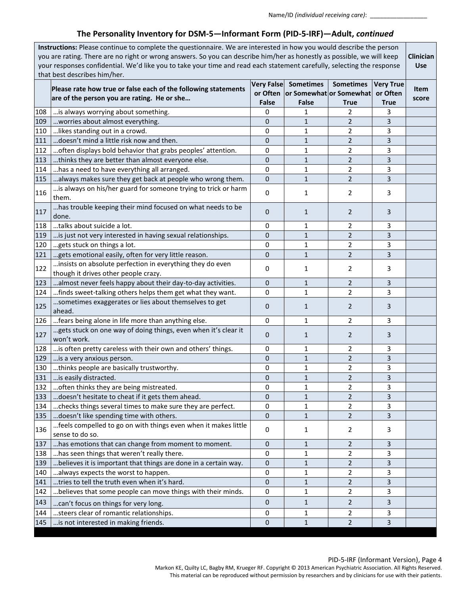# **The Personality Inventory for DSM-5—Informant Form (PID-5-IRF)—Adult,** *continued*

|     | Instructions: Please continue to complete the questionnaire. We are interested in how you would describe the person<br>you are rating. There are no right or wrong answers. So you can describe him/her as honestly as possible, we will keep |              |                         |                  |                  |       |  |
|-----|-----------------------------------------------------------------------------------------------------------------------------------------------------------------------------------------------------------------------------------------------|--------------|-------------------------|------------------|------------------|-------|--|
|     | your responses confidential. We'd like you to take your time and read each statement carefully, selecting the response                                                                                                                        |              |                         |                  |                  |       |  |
|     | <b>Use</b><br>that best describes him/her.                                                                                                                                                                                                    |              |                         |                  |                  |       |  |
|     |                                                                                                                                                                                                                                               |              | Very False Sometimes    | <b>Sometimes</b> | <b>Very True</b> |       |  |
|     | Please rate how true or false each of the following statements                                                                                                                                                                                | or Often     | or Somewhat or Somewhat |                  | or Often         | Item  |  |
|     | are of the person you are rating. He or she                                                                                                                                                                                                   | <b>False</b> | False                   | True             | <b>True</b>      | score |  |
| 108 | is always worrying about something.                                                                                                                                                                                                           | 0            | 1                       | 2                | 3                |       |  |
| 109 | worries about almost everything.                                                                                                                                                                                                              | $\mathbf{0}$ | 1                       | 2                | 3                |       |  |
| 110 | likes standing out in a crowd.                                                                                                                                                                                                                | 0            | 1                       | 2                | 3                |       |  |
| 111 | doesn't mind a little risk now and then.                                                                                                                                                                                                      | $\mathbf{0}$ | $\mathbf{1}$            | 2                | 3                |       |  |
| 112 | often displays bold behavior that grabs peoples' attention.                                                                                                                                                                                   | 0            | 1                       | 2                | 3                |       |  |
| 113 | thinks they are better than almost everyone else.                                                                                                                                                                                             | 0            | $\mathbf{1}$            | 2                | 3                |       |  |
| 114 | has a need to have everything all arranged.                                                                                                                                                                                                   | 0            | 1                       | 2                | 3                |       |  |
| 115 | always makes sure they get back at people who wrong them.                                                                                                                                                                                     | $\mathbf{0}$ | $\mathbf{1}$            | $\overline{2}$   | 3                |       |  |
| 116 | is always on his/her guard for someone trying to trick or harm<br>them.                                                                                                                                                                       | $\mathbf 0$  | 1                       | 2                | 3                |       |  |
| 117 | has trouble keeping their mind focused on what needs to be<br>done.                                                                                                                                                                           | 0            | $\mathbf{1}$            | 2                | 3                |       |  |
| 118 | talks about suicide a lot.                                                                                                                                                                                                                    | 0            | 1                       | 2                | 3                |       |  |
| 119 | is just not very interested in having sexual relationships.                                                                                                                                                                                   | $\mathbf{0}$ | $\mathbf{1}$            | $\overline{2}$   | 3                |       |  |
| 120 | gets stuck on things a lot.                                                                                                                                                                                                                   | 0            | 1                       | 2                | 3                |       |  |
| 121 | gets emotional easily, often for very little reason.                                                                                                                                                                                          | 0            | $\mathbf{1}$            | 2                | 3                |       |  |
| 122 | insists on absolute perfection in everything they do even<br>though it drives other people crazy.                                                                                                                                             | 0            | 1                       | 2                | 3                |       |  |
| 123 | almost never feels happy about their day-to-day activities.                                                                                                                                                                                   | 0            | 1                       | $\overline{2}$   | 3                |       |  |
| 124 | finds sweet-talking others helps them get what they want.                                                                                                                                                                                     | 0            | 1                       | 2                | 3                |       |  |
| 125 | sometimes exaggerates or lies about themselves to get<br>ahead.                                                                                                                                                                               | 0            | $\mathbf{1}$            | 2                | 3                |       |  |
| 126 | fears being alone in life more than anything else.                                                                                                                                                                                            | 0            | 1                       | 2                | 3                |       |  |
| 127 | gets stuck on one way of doing things, even when it's clear it<br>won't work.                                                                                                                                                                 | 0            | 1                       | 2                | 3                |       |  |
| 128 | is often pretty careless with their own and others' things.                                                                                                                                                                                   | 0            | 1                       | 2                | 3                |       |  |
| 129 | is a very anxious person.                                                                                                                                                                                                                     | 0            | 1                       | 2                | 3                |       |  |
| 130 | thinks people are basically trustworthy.                                                                                                                                                                                                      | 0            | 1                       | 2                | 3                |       |  |
| 131 | is easily distracted.                                                                                                                                                                                                                         | 0            | 1                       | $\overline{2}$   | 3                |       |  |
| 132 | often thinks they are being mistreated.                                                                                                                                                                                                       | 0            | 1                       | $\overline{2}$   | 3                |       |  |
| 133 | doesn't hesitate to cheat if it gets them ahead.                                                                                                                                                                                              | 0            | 1                       | 2                | 3                |       |  |
| 134 | checks things several times to make sure they are perfect.                                                                                                                                                                                    | 0            | 1                       | 2                | 3                |       |  |
| 135 | doesn't like spending time with others.                                                                                                                                                                                                       | $\mathbf{0}$ | $\mathbf{1}$            | $\overline{2}$   | 3                |       |  |
| 136 | feels compelled to go on with things even when it makes little<br>sense to do so.                                                                                                                                                             | 0            | 1                       | 2                | 3                |       |  |
| 137 | has emotions that can change from moment to moment.                                                                                                                                                                                           | 0            | 1                       | 2                | 3                |       |  |
| 138 | has seen things that weren't really there.                                                                                                                                                                                                    | 0            | 1                       | 2                | 3                |       |  |
| 139 | believes it is important that things are done in a certain way.                                                                                                                                                                               | 0            | $\mathbf{1}$            | 2                | 3                |       |  |
| 140 | always expects the worst to happen.                                                                                                                                                                                                           | 0            | 1                       | 2                | 3                |       |  |
| 141 | tries to tell the truth even when it's hard.                                                                                                                                                                                                  | 0            | $\mathbf{1}$            | 2                | 3                |       |  |
| 142 | believes that some people can move things with their minds.                                                                                                                                                                                   | 0            | 1                       | $\overline{2}$   | 3                |       |  |
| 143 | can't focus on things for very long.                                                                                                                                                                                                          | 0            | $\mathbf{1}$            | 2                | 3                |       |  |
| 144 | steers clear of romantic relationships.                                                                                                                                                                                                       | 0            | 1                       | 2                | 3                |       |  |
| 145 | is not interested in making friends.                                                                                                                                                                                                          | $\pmb{0}$    | $1\,$                   | 2                | 3                |       |  |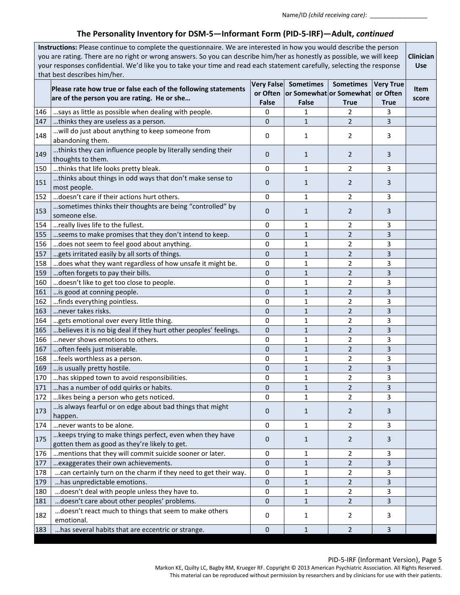Name/ID *(child receiving care)*: \_\_\_\_\_\_\_\_\_\_\_\_\_\_\_\_\_

# **The Personality Inventory for DSM-5—Informant Form (PID-5-IRF)—Adult,** *continued*

| Very False Sometimes<br>Please rate how true or false each of the following statements<br>or Often   or Somewhat   or Somewhat<br>or Often<br>are of the person you are rating. He or she<br>False<br><b>False</b><br><b>True</b><br><b>True</b><br>says as little as possible when dealing with people.<br>0<br>146<br>2<br>3<br>1<br>$\mathbf 0$<br>$\overline{2}$<br>$\mathbf{1}$<br>3<br>thinks they are useless as a person.<br>147<br>will do just about anything to keep someone from<br>148<br>1<br>2<br>3<br>0<br>abandoning them.<br>thinks they can influence people by literally sending their<br>149<br>0<br>$\mathbf{1}$<br>2<br>3<br>thoughts to them.<br>150 thinks that life looks pretty bleak.<br>0<br>2<br>3<br>1<br>thinks about things in odd ways that don't make sense to<br>151<br>$\mathbf{0}$<br>2<br>3<br>1<br>most people.<br>doesn't care if their actions hurt others.<br>2<br>152<br>0<br>$\mathbf{1}$<br>3<br>sometimes thinks their thoughts are being "controlled" by<br>153<br>0<br>$\mathbf{1}$<br>2<br>3<br>someone else.<br>really lives life to the fullest.<br>$\mathbf 0$<br>3<br>1<br>2<br>154<br>155<br>$\mathbf{0}$<br>$\mathbf{1}$<br>2<br>3<br>seems to make promises that they don't intend to keep.<br>does not seem to feel good about anything.<br>0<br>2<br>3<br>156<br>1<br>gets irritated easily by all sorts of things.<br>157<br>$\mathbf{0}$<br>2<br>3<br>1<br>does what they want regardless of how unsafe it might be.<br>158<br>0<br>2<br>3<br>1<br>159<br>often forgets to pay their bills.<br>$\mathbf{0}$<br>$\overline{2}$<br>3<br>$\mathbf{1}$<br>160<br>doesn't like to get too close to people.<br>0<br>3<br>1<br>2<br>$\mathbf{0}$<br>$\overline{2}$<br>161<br>is good at conning people.<br>$\mathbf{1}$<br>3<br>finds everything pointless.<br>0<br>3<br>162<br>2<br>1<br>163<br>never takes risks.<br>$\mathbf{0}$<br>$\overline{2}$<br>$\mathbf{1}$<br>3<br>2<br>3<br>164<br>gets emotional over every little thing.<br>0<br>1<br>$\overline{2}$<br>165<br>believes it is no big deal if they hurt other peoples' feelings.<br>$\mathbf{0}$<br>$\mathbf{1}$<br>3<br>never shows emotions to others.<br>166<br>2<br>3<br>0<br>1<br>often feels just miserable.<br>167<br>$\mathbf{0}$<br>$\overline{2}$<br>3<br>$\mathbf{1}$<br>feels worthless as a person.<br>168<br>0<br>2<br>3<br>1<br>$\overline{2}$<br>0<br>$\mathbf{1}$<br>3<br>169<br>is usually pretty hostile.<br>170  has skipped town to avoid responsibilities.<br>$\overline{\mathbf{c}}$<br>3<br>0<br>$\mathbf 1$<br>$\overline{2}$<br>$\Omega$<br>$1\,$<br>3<br>171<br>has a number of odd quirks or habits.<br>likes being a person who gets noticed.<br>172<br>0<br>$\mathbf{1}$<br>2<br>3<br>is always fearful or on edge about bad things that might<br>173<br>0<br>1<br>2<br>3<br>happen.<br>174<br>never wants to be alone.<br>0<br>$\mathbf{1}$<br>$\overline{2}$<br>3<br>keeps trying to make things perfect, even when they have<br>175<br>$\mathbf 0$<br>2<br>3<br>1<br>gotten them as good as they're likely to get.<br>mentions that they will commit suicide sooner or later.<br>176<br>0<br>2<br>3<br>1<br>exaggerates their own achievements.<br>$\pmb{0}$<br>$\overline{2}$<br>177<br>$\mathbf{1}$<br>3<br>178<br>can certainly turn on the charm if they need to get their way.<br>0<br>$\overline{2}$<br>1<br>3<br>has unpredictable emotions.<br>$\boldsymbol{0}$<br>$\overline{2}$<br>3<br>179<br>$\mathbf{1}$<br>doesn't deal with people unless they have to.<br>180<br>0<br>1<br>2<br>3<br>doesn't care about other peoples' problems.<br>0<br>$\overline{2}$<br>3<br>181<br>1<br>doesn't react much to things that seem to make others<br>182<br>0<br>1<br>2<br>3<br>emotional. | Instructions: Please continue to complete the questionnaire. We are interested in how you would describe the person<br>you are rating. There are no right or wrong answers. So you can describe him/her as honestly as possible, we will keep<br>your responses confidential. We'd like you to take your time and read each statement carefully, selecting the response<br>that best describes him/her. |                                                   |           |              |                  |                  |                      |
|------------------------------------------------------------------------------------------------------------------------------------------------------------------------------------------------------------------------------------------------------------------------------------------------------------------------------------------------------------------------------------------------------------------------------------------------------------------------------------------------------------------------------------------------------------------------------------------------------------------------------------------------------------------------------------------------------------------------------------------------------------------------------------------------------------------------------------------------------------------------------------------------------------------------------------------------------------------------------------------------------------------------------------------------------------------------------------------------------------------------------------------------------------------------------------------------------------------------------------------------------------------------------------------------------------------------------------------------------------------------------------------------------------------------------------------------------------------------------------------------------------------------------------------------------------------------------------------------------------------------------------------------------------------------------------------------------------------------------------------------------------------------------------------------------------------------------------------------------------------------------------------------------------------------------------------------------------------------------------------------------------------------------------------------------------------------------------------------------------------------------------------------------------------------------------------------------------------------------------------------------------------------------------------------------------------------------------------------------------------------------------------------------------------------------------------------------------------------------------------------------------------------------------------------------------------------------------------------------------------------------------------------------------------------------------------------------------------------------------------------------------------------------------------------------------------------------------------------------------------------------------------------------------------------------------------------------------------------------------------------------------------------------------------------------------------------------------------------------------------------------------------------------------------------------------------------------------------------------------------------------------------------------------------------------------------------------------------------------------------------------------------------------------------------------------------------------------------------------------------------------------------------------------------------------------------------------------------------------------------------------------------------------------------------------------------------------------------------------------------------|---------------------------------------------------------------------------------------------------------------------------------------------------------------------------------------------------------------------------------------------------------------------------------------------------------------------------------------------------------------------------------------------------------|---------------------------------------------------|-----------|--------------|------------------|------------------|----------------------|
|                                                                                                                                                                                                                                                                                                                                                                                                                                                                                                                                                                                                                                                                                                                                                                                                                                                                                                                                                                                                                                                                                                                                                                                                                                                                                                                                                                                                                                                                                                                                                                                                                                                                                                                                                                                                                                                                                                                                                                                                                                                                                                                                                                                                                                                                                                                                                                                                                                                                                                                                                                                                                                                                                                                                                                                                                                                                                                                                                                                                                                                                                                                                                                                                                                                                                                                                                                                                                                                                                                                                                                                                                                                                                                                                                |                                                                                                                                                                                                                                                                                                                                                                                                         |                                                   |           |              | <b>Sometimes</b> | <b>Very True</b> | <b>Item</b><br>score |
|                                                                                                                                                                                                                                                                                                                                                                                                                                                                                                                                                                                                                                                                                                                                                                                                                                                                                                                                                                                                                                                                                                                                                                                                                                                                                                                                                                                                                                                                                                                                                                                                                                                                                                                                                                                                                                                                                                                                                                                                                                                                                                                                                                                                                                                                                                                                                                                                                                                                                                                                                                                                                                                                                                                                                                                                                                                                                                                                                                                                                                                                                                                                                                                                                                                                                                                                                                                                                                                                                                                                                                                                                                                                                                                                                |                                                                                                                                                                                                                                                                                                                                                                                                         |                                                   |           |              |                  |                  |                      |
|                                                                                                                                                                                                                                                                                                                                                                                                                                                                                                                                                                                                                                                                                                                                                                                                                                                                                                                                                                                                                                                                                                                                                                                                                                                                                                                                                                                                                                                                                                                                                                                                                                                                                                                                                                                                                                                                                                                                                                                                                                                                                                                                                                                                                                                                                                                                                                                                                                                                                                                                                                                                                                                                                                                                                                                                                                                                                                                                                                                                                                                                                                                                                                                                                                                                                                                                                                                                                                                                                                                                                                                                                                                                                                                                                |                                                                                                                                                                                                                                                                                                                                                                                                         |                                                   |           |              |                  |                  |                      |
|                                                                                                                                                                                                                                                                                                                                                                                                                                                                                                                                                                                                                                                                                                                                                                                                                                                                                                                                                                                                                                                                                                                                                                                                                                                                                                                                                                                                                                                                                                                                                                                                                                                                                                                                                                                                                                                                                                                                                                                                                                                                                                                                                                                                                                                                                                                                                                                                                                                                                                                                                                                                                                                                                                                                                                                                                                                                                                                                                                                                                                                                                                                                                                                                                                                                                                                                                                                                                                                                                                                                                                                                                                                                                                                                                |                                                                                                                                                                                                                                                                                                                                                                                                         |                                                   |           |              |                  |                  |                      |
|                                                                                                                                                                                                                                                                                                                                                                                                                                                                                                                                                                                                                                                                                                                                                                                                                                                                                                                                                                                                                                                                                                                                                                                                                                                                                                                                                                                                                                                                                                                                                                                                                                                                                                                                                                                                                                                                                                                                                                                                                                                                                                                                                                                                                                                                                                                                                                                                                                                                                                                                                                                                                                                                                                                                                                                                                                                                                                                                                                                                                                                                                                                                                                                                                                                                                                                                                                                                                                                                                                                                                                                                                                                                                                                                                |                                                                                                                                                                                                                                                                                                                                                                                                         |                                                   |           |              |                  |                  |                      |
|                                                                                                                                                                                                                                                                                                                                                                                                                                                                                                                                                                                                                                                                                                                                                                                                                                                                                                                                                                                                                                                                                                                                                                                                                                                                                                                                                                                                                                                                                                                                                                                                                                                                                                                                                                                                                                                                                                                                                                                                                                                                                                                                                                                                                                                                                                                                                                                                                                                                                                                                                                                                                                                                                                                                                                                                                                                                                                                                                                                                                                                                                                                                                                                                                                                                                                                                                                                                                                                                                                                                                                                                                                                                                                                                                |                                                                                                                                                                                                                                                                                                                                                                                                         |                                                   |           |              |                  |                  |                      |
|                                                                                                                                                                                                                                                                                                                                                                                                                                                                                                                                                                                                                                                                                                                                                                                                                                                                                                                                                                                                                                                                                                                                                                                                                                                                                                                                                                                                                                                                                                                                                                                                                                                                                                                                                                                                                                                                                                                                                                                                                                                                                                                                                                                                                                                                                                                                                                                                                                                                                                                                                                                                                                                                                                                                                                                                                                                                                                                                                                                                                                                                                                                                                                                                                                                                                                                                                                                                                                                                                                                                                                                                                                                                                                                                                |                                                                                                                                                                                                                                                                                                                                                                                                         |                                                   |           |              |                  |                  |                      |
|                                                                                                                                                                                                                                                                                                                                                                                                                                                                                                                                                                                                                                                                                                                                                                                                                                                                                                                                                                                                                                                                                                                                                                                                                                                                                                                                                                                                                                                                                                                                                                                                                                                                                                                                                                                                                                                                                                                                                                                                                                                                                                                                                                                                                                                                                                                                                                                                                                                                                                                                                                                                                                                                                                                                                                                                                                                                                                                                                                                                                                                                                                                                                                                                                                                                                                                                                                                                                                                                                                                                                                                                                                                                                                                                                |                                                                                                                                                                                                                                                                                                                                                                                                         |                                                   |           |              |                  |                  |                      |
|                                                                                                                                                                                                                                                                                                                                                                                                                                                                                                                                                                                                                                                                                                                                                                                                                                                                                                                                                                                                                                                                                                                                                                                                                                                                                                                                                                                                                                                                                                                                                                                                                                                                                                                                                                                                                                                                                                                                                                                                                                                                                                                                                                                                                                                                                                                                                                                                                                                                                                                                                                                                                                                                                                                                                                                                                                                                                                                                                                                                                                                                                                                                                                                                                                                                                                                                                                                                                                                                                                                                                                                                                                                                                                                                                |                                                                                                                                                                                                                                                                                                                                                                                                         |                                                   |           |              |                  |                  |                      |
|                                                                                                                                                                                                                                                                                                                                                                                                                                                                                                                                                                                                                                                                                                                                                                                                                                                                                                                                                                                                                                                                                                                                                                                                                                                                                                                                                                                                                                                                                                                                                                                                                                                                                                                                                                                                                                                                                                                                                                                                                                                                                                                                                                                                                                                                                                                                                                                                                                                                                                                                                                                                                                                                                                                                                                                                                                                                                                                                                                                                                                                                                                                                                                                                                                                                                                                                                                                                                                                                                                                                                                                                                                                                                                                                                |                                                                                                                                                                                                                                                                                                                                                                                                         |                                                   |           |              |                  |                  |                      |
|                                                                                                                                                                                                                                                                                                                                                                                                                                                                                                                                                                                                                                                                                                                                                                                                                                                                                                                                                                                                                                                                                                                                                                                                                                                                                                                                                                                                                                                                                                                                                                                                                                                                                                                                                                                                                                                                                                                                                                                                                                                                                                                                                                                                                                                                                                                                                                                                                                                                                                                                                                                                                                                                                                                                                                                                                                                                                                                                                                                                                                                                                                                                                                                                                                                                                                                                                                                                                                                                                                                                                                                                                                                                                                                                                |                                                                                                                                                                                                                                                                                                                                                                                                         |                                                   |           |              |                  |                  |                      |
|                                                                                                                                                                                                                                                                                                                                                                                                                                                                                                                                                                                                                                                                                                                                                                                                                                                                                                                                                                                                                                                                                                                                                                                                                                                                                                                                                                                                                                                                                                                                                                                                                                                                                                                                                                                                                                                                                                                                                                                                                                                                                                                                                                                                                                                                                                                                                                                                                                                                                                                                                                                                                                                                                                                                                                                                                                                                                                                                                                                                                                                                                                                                                                                                                                                                                                                                                                                                                                                                                                                                                                                                                                                                                                                                                |                                                                                                                                                                                                                                                                                                                                                                                                         |                                                   |           |              |                  |                  |                      |
|                                                                                                                                                                                                                                                                                                                                                                                                                                                                                                                                                                                                                                                                                                                                                                                                                                                                                                                                                                                                                                                                                                                                                                                                                                                                                                                                                                                                                                                                                                                                                                                                                                                                                                                                                                                                                                                                                                                                                                                                                                                                                                                                                                                                                                                                                                                                                                                                                                                                                                                                                                                                                                                                                                                                                                                                                                                                                                                                                                                                                                                                                                                                                                                                                                                                                                                                                                                                                                                                                                                                                                                                                                                                                                                                                |                                                                                                                                                                                                                                                                                                                                                                                                         |                                                   |           |              |                  |                  |                      |
|                                                                                                                                                                                                                                                                                                                                                                                                                                                                                                                                                                                                                                                                                                                                                                                                                                                                                                                                                                                                                                                                                                                                                                                                                                                                                                                                                                                                                                                                                                                                                                                                                                                                                                                                                                                                                                                                                                                                                                                                                                                                                                                                                                                                                                                                                                                                                                                                                                                                                                                                                                                                                                                                                                                                                                                                                                                                                                                                                                                                                                                                                                                                                                                                                                                                                                                                                                                                                                                                                                                                                                                                                                                                                                                                                |                                                                                                                                                                                                                                                                                                                                                                                                         |                                                   |           |              |                  |                  |                      |
|                                                                                                                                                                                                                                                                                                                                                                                                                                                                                                                                                                                                                                                                                                                                                                                                                                                                                                                                                                                                                                                                                                                                                                                                                                                                                                                                                                                                                                                                                                                                                                                                                                                                                                                                                                                                                                                                                                                                                                                                                                                                                                                                                                                                                                                                                                                                                                                                                                                                                                                                                                                                                                                                                                                                                                                                                                                                                                                                                                                                                                                                                                                                                                                                                                                                                                                                                                                                                                                                                                                                                                                                                                                                                                                                                |                                                                                                                                                                                                                                                                                                                                                                                                         |                                                   |           |              |                  |                  |                      |
|                                                                                                                                                                                                                                                                                                                                                                                                                                                                                                                                                                                                                                                                                                                                                                                                                                                                                                                                                                                                                                                                                                                                                                                                                                                                                                                                                                                                                                                                                                                                                                                                                                                                                                                                                                                                                                                                                                                                                                                                                                                                                                                                                                                                                                                                                                                                                                                                                                                                                                                                                                                                                                                                                                                                                                                                                                                                                                                                                                                                                                                                                                                                                                                                                                                                                                                                                                                                                                                                                                                                                                                                                                                                                                                                                |                                                                                                                                                                                                                                                                                                                                                                                                         |                                                   |           |              |                  |                  |                      |
|                                                                                                                                                                                                                                                                                                                                                                                                                                                                                                                                                                                                                                                                                                                                                                                                                                                                                                                                                                                                                                                                                                                                                                                                                                                                                                                                                                                                                                                                                                                                                                                                                                                                                                                                                                                                                                                                                                                                                                                                                                                                                                                                                                                                                                                                                                                                                                                                                                                                                                                                                                                                                                                                                                                                                                                                                                                                                                                                                                                                                                                                                                                                                                                                                                                                                                                                                                                                                                                                                                                                                                                                                                                                                                                                                |                                                                                                                                                                                                                                                                                                                                                                                                         |                                                   |           |              |                  |                  |                      |
|                                                                                                                                                                                                                                                                                                                                                                                                                                                                                                                                                                                                                                                                                                                                                                                                                                                                                                                                                                                                                                                                                                                                                                                                                                                                                                                                                                                                                                                                                                                                                                                                                                                                                                                                                                                                                                                                                                                                                                                                                                                                                                                                                                                                                                                                                                                                                                                                                                                                                                                                                                                                                                                                                                                                                                                                                                                                                                                                                                                                                                                                                                                                                                                                                                                                                                                                                                                                                                                                                                                                                                                                                                                                                                                                                |                                                                                                                                                                                                                                                                                                                                                                                                         |                                                   |           |              |                  |                  |                      |
|                                                                                                                                                                                                                                                                                                                                                                                                                                                                                                                                                                                                                                                                                                                                                                                                                                                                                                                                                                                                                                                                                                                                                                                                                                                                                                                                                                                                                                                                                                                                                                                                                                                                                                                                                                                                                                                                                                                                                                                                                                                                                                                                                                                                                                                                                                                                                                                                                                                                                                                                                                                                                                                                                                                                                                                                                                                                                                                                                                                                                                                                                                                                                                                                                                                                                                                                                                                                                                                                                                                                                                                                                                                                                                                                                |                                                                                                                                                                                                                                                                                                                                                                                                         |                                                   |           |              |                  |                  |                      |
|                                                                                                                                                                                                                                                                                                                                                                                                                                                                                                                                                                                                                                                                                                                                                                                                                                                                                                                                                                                                                                                                                                                                                                                                                                                                                                                                                                                                                                                                                                                                                                                                                                                                                                                                                                                                                                                                                                                                                                                                                                                                                                                                                                                                                                                                                                                                                                                                                                                                                                                                                                                                                                                                                                                                                                                                                                                                                                                                                                                                                                                                                                                                                                                                                                                                                                                                                                                                                                                                                                                                                                                                                                                                                                                                                |                                                                                                                                                                                                                                                                                                                                                                                                         |                                                   |           |              |                  |                  |                      |
|                                                                                                                                                                                                                                                                                                                                                                                                                                                                                                                                                                                                                                                                                                                                                                                                                                                                                                                                                                                                                                                                                                                                                                                                                                                                                                                                                                                                                                                                                                                                                                                                                                                                                                                                                                                                                                                                                                                                                                                                                                                                                                                                                                                                                                                                                                                                                                                                                                                                                                                                                                                                                                                                                                                                                                                                                                                                                                                                                                                                                                                                                                                                                                                                                                                                                                                                                                                                                                                                                                                                                                                                                                                                                                                                                |                                                                                                                                                                                                                                                                                                                                                                                                         |                                                   |           |              |                  |                  |                      |
|                                                                                                                                                                                                                                                                                                                                                                                                                                                                                                                                                                                                                                                                                                                                                                                                                                                                                                                                                                                                                                                                                                                                                                                                                                                                                                                                                                                                                                                                                                                                                                                                                                                                                                                                                                                                                                                                                                                                                                                                                                                                                                                                                                                                                                                                                                                                                                                                                                                                                                                                                                                                                                                                                                                                                                                                                                                                                                                                                                                                                                                                                                                                                                                                                                                                                                                                                                                                                                                                                                                                                                                                                                                                                                                                                |                                                                                                                                                                                                                                                                                                                                                                                                         |                                                   |           |              |                  |                  |                      |
|                                                                                                                                                                                                                                                                                                                                                                                                                                                                                                                                                                                                                                                                                                                                                                                                                                                                                                                                                                                                                                                                                                                                                                                                                                                                                                                                                                                                                                                                                                                                                                                                                                                                                                                                                                                                                                                                                                                                                                                                                                                                                                                                                                                                                                                                                                                                                                                                                                                                                                                                                                                                                                                                                                                                                                                                                                                                                                                                                                                                                                                                                                                                                                                                                                                                                                                                                                                                                                                                                                                                                                                                                                                                                                                                                |                                                                                                                                                                                                                                                                                                                                                                                                         |                                                   |           |              |                  |                  |                      |
|                                                                                                                                                                                                                                                                                                                                                                                                                                                                                                                                                                                                                                                                                                                                                                                                                                                                                                                                                                                                                                                                                                                                                                                                                                                                                                                                                                                                                                                                                                                                                                                                                                                                                                                                                                                                                                                                                                                                                                                                                                                                                                                                                                                                                                                                                                                                                                                                                                                                                                                                                                                                                                                                                                                                                                                                                                                                                                                                                                                                                                                                                                                                                                                                                                                                                                                                                                                                                                                                                                                                                                                                                                                                                                                                                |                                                                                                                                                                                                                                                                                                                                                                                                         |                                                   |           |              |                  |                  |                      |
|                                                                                                                                                                                                                                                                                                                                                                                                                                                                                                                                                                                                                                                                                                                                                                                                                                                                                                                                                                                                                                                                                                                                                                                                                                                                                                                                                                                                                                                                                                                                                                                                                                                                                                                                                                                                                                                                                                                                                                                                                                                                                                                                                                                                                                                                                                                                                                                                                                                                                                                                                                                                                                                                                                                                                                                                                                                                                                                                                                                                                                                                                                                                                                                                                                                                                                                                                                                                                                                                                                                                                                                                                                                                                                                                                |                                                                                                                                                                                                                                                                                                                                                                                                         |                                                   |           |              |                  |                  |                      |
|                                                                                                                                                                                                                                                                                                                                                                                                                                                                                                                                                                                                                                                                                                                                                                                                                                                                                                                                                                                                                                                                                                                                                                                                                                                                                                                                                                                                                                                                                                                                                                                                                                                                                                                                                                                                                                                                                                                                                                                                                                                                                                                                                                                                                                                                                                                                                                                                                                                                                                                                                                                                                                                                                                                                                                                                                                                                                                                                                                                                                                                                                                                                                                                                                                                                                                                                                                                                                                                                                                                                                                                                                                                                                                                                                |                                                                                                                                                                                                                                                                                                                                                                                                         |                                                   |           |              |                  |                  |                      |
|                                                                                                                                                                                                                                                                                                                                                                                                                                                                                                                                                                                                                                                                                                                                                                                                                                                                                                                                                                                                                                                                                                                                                                                                                                                                                                                                                                                                                                                                                                                                                                                                                                                                                                                                                                                                                                                                                                                                                                                                                                                                                                                                                                                                                                                                                                                                                                                                                                                                                                                                                                                                                                                                                                                                                                                                                                                                                                                                                                                                                                                                                                                                                                                                                                                                                                                                                                                                                                                                                                                                                                                                                                                                                                                                                |                                                                                                                                                                                                                                                                                                                                                                                                         |                                                   |           |              |                  |                  |                      |
|                                                                                                                                                                                                                                                                                                                                                                                                                                                                                                                                                                                                                                                                                                                                                                                                                                                                                                                                                                                                                                                                                                                                                                                                                                                                                                                                                                                                                                                                                                                                                                                                                                                                                                                                                                                                                                                                                                                                                                                                                                                                                                                                                                                                                                                                                                                                                                                                                                                                                                                                                                                                                                                                                                                                                                                                                                                                                                                                                                                                                                                                                                                                                                                                                                                                                                                                                                                                                                                                                                                                                                                                                                                                                                                                                |                                                                                                                                                                                                                                                                                                                                                                                                         |                                                   |           |              |                  |                  |                      |
|                                                                                                                                                                                                                                                                                                                                                                                                                                                                                                                                                                                                                                                                                                                                                                                                                                                                                                                                                                                                                                                                                                                                                                                                                                                                                                                                                                                                                                                                                                                                                                                                                                                                                                                                                                                                                                                                                                                                                                                                                                                                                                                                                                                                                                                                                                                                                                                                                                                                                                                                                                                                                                                                                                                                                                                                                                                                                                                                                                                                                                                                                                                                                                                                                                                                                                                                                                                                                                                                                                                                                                                                                                                                                                                                                |                                                                                                                                                                                                                                                                                                                                                                                                         |                                                   |           |              |                  |                  |                      |
|                                                                                                                                                                                                                                                                                                                                                                                                                                                                                                                                                                                                                                                                                                                                                                                                                                                                                                                                                                                                                                                                                                                                                                                                                                                                                                                                                                                                                                                                                                                                                                                                                                                                                                                                                                                                                                                                                                                                                                                                                                                                                                                                                                                                                                                                                                                                                                                                                                                                                                                                                                                                                                                                                                                                                                                                                                                                                                                                                                                                                                                                                                                                                                                                                                                                                                                                                                                                                                                                                                                                                                                                                                                                                                                                                |                                                                                                                                                                                                                                                                                                                                                                                                         |                                                   |           |              |                  |                  |                      |
|                                                                                                                                                                                                                                                                                                                                                                                                                                                                                                                                                                                                                                                                                                                                                                                                                                                                                                                                                                                                                                                                                                                                                                                                                                                                                                                                                                                                                                                                                                                                                                                                                                                                                                                                                                                                                                                                                                                                                                                                                                                                                                                                                                                                                                                                                                                                                                                                                                                                                                                                                                                                                                                                                                                                                                                                                                                                                                                                                                                                                                                                                                                                                                                                                                                                                                                                                                                                                                                                                                                                                                                                                                                                                                                                                |                                                                                                                                                                                                                                                                                                                                                                                                         |                                                   |           |              |                  |                  |                      |
|                                                                                                                                                                                                                                                                                                                                                                                                                                                                                                                                                                                                                                                                                                                                                                                                                                                                                                                                                                                                                                                                                                                                                                                                                                                                                                                                                                                                                                                                                                                                                                                                                                                                                                                                                                                                                                                                                                                                                                                                                                                                                                                                                                                                                                                                                                                                                                                                                                                                                                                                                                                                                                                                                                                                                                                                                                                                                                                                                                                                                                                                                                                                                                                                                                                                                                                                                                                                                                                                                                                                                                                                                                                                                                                                                |                                                                                                                                                                                                                                                                                                                                                                                                         |                                                   |           |              |                  |                  |                      |
|                                                                                                                                                                                                                                                                                                                                                                                                                                                                                                                                                                                                                                                                                                                                                                                                                                                                                                                                                                                                                                                                                                                                                                                                                                                                                                                                                                                                                                                                                                                                                                                                                                                                                                                                                                                                                                                                                                                                                                                                                                                                                                                                                                                                                                                                                                                                                                                                                                                                                                                                                                                                                                                                                                                                                                                                                                                                                                                                                                                                                                                                                                                                                                                                                                                                                                                                                                                                                                                                                                                                                                                                                                                                                                                                                |                                                                                                                                                                                                                                                                                                                                                                                                         |                                                   |           |              |                  |                  |                      |
|                                                                                                                                                                                                                                                                                                                                                                                                                                                                                                                                                                                                                                                                                                                                                                                                                                                                                                                                                                                                                                                                                                                                                                                                                                                                                                                                                                                                                                                                                                                                                                                                                                                                                                                                                                                                                                                                                                                                                                                                                                                                                                                                                                                                                                                                                                                                                                                                                                                                                                                                                                                                                                                                                                                                                                                                                                                                                                                                                                                                                                                                                                                                                                                                                                                                                                                                                                                                                                                                                                                                                                                                                                                                                                                                                |                                                                                                                                                                                                                                                                                                                                                                                                         |                                                   |           |              |                  |                  |                      |
|                                                                                                                                                                                                                                                                                                                                                                                                                                                                                                                                                                                                                                                                                                                                                                                                                                                                                                                                                                                                                                                                                                                                                                                                                                                                                                                                                                                                                                                                                                                                                                                                                                                                                                                                                                                                                                                                                                                                                                                                                                                                                                                                                                                                                                                                                                                                                                                                                                                                                                                                                                                                                                                                                                                                                                                                                                                                                                                                                                                                                                                                                                                                                                                                                                                                                                                                                                                                                                                                                                                                                                                                                                                                                                                                                |                                                                                                                                                                                                                                                                                                                                                                                                         |                                                   |           |              |                  |                  |                      |
|                                                                                                                                                                                                                                                                                                                                                                                                                                                                                                                                                                                                                                                                                                                                                                                                                                                                                                                                                                                                                                                                                                                                                                                                                                                                                                                                                                                                                                                                                                                                                                                                                                                                                                                                                                                                                                                                                                                                                                                                                                                                                                                                                                                                                                                                                                                                                                                                                                                                                                                                                                                                                                                                                                                                                                                                                                                                                                                                                                                                                                                                                                                                                                                                                                                                                                                                                                                                                                                                                                                                                                                                                                                                                                                                                |                                                                                                                                                                                                                                                                                                                                                                                                         |                                                   |           |              |                  |                  |                      |
|                                                                                                                                                                                                                                                                                                                                                                                                                                                                                                                                                                                                                                                                                                                                                                                                                                                                                                                                                                                                                                                                                                                                                                                                                                                                                                                                                                                                                                                                                                                                                                                                                                                                                                                                                                                                                                                                                                                                                                                                                                                                                                                                                                                                                                                                                                                                                                                                                                                                                                                                                                                                                                                                                                                                                                                                                                                                                                                                                                                                                                                                                                                                                                                                                                                                                                                                                                                                                                                                                                                                                                                                                                                                                                                                                |                                                                                                                                                                                                                                                                                                                                                                                                         |                                                   |           |              |                  |                  |                      |
|                                                                                                                                                                                                                                                                                                                                                                                                                                                                                                                                                                                                                                                                                                                                                                                                                                                                                                                                                                                                                                                                                                                                                                                                                                                                                                                                                                                                                                                                                                                                                                                                                                                                                                                                                                                                                                                                                                                                                                                                                                                                                                                                                                                                                                                                                                                                                                                                                                                                                                                                                                                                                                                                                                                                                                                                                                                                                                                                                                                                                                                                                                                                                                                                                                                                                                                                                                                                                                                                                                                                                                                                                                                                                                                                                |                                                                                                                                                                                                                                                                                                                                                                                                         |                                                   |           |              |                  |                  |                      |
|                                                                                                                                                                                                                                                                                                                                                                                                                                                                                                                                                                                                                                                                                                                                                                                                                                                                                                                                                                                                                                                                                                                                                                                                                                                                                                                                                                                                                                                                                                                                                                                                                                                                                                                                                                                                                                                                                                                                                                                                                                                                                                                                                                                                                                                                                                                                                                                                                                                                                                                                                                                                                                                                                                                                                                                                                                                                                                                                                                                                                                                                                                                                                                                                                                                                                                                                                                                                                                                                                                                                                                                                                                                                                                                                                | 183                                                                                                                                                                                                                                                                                                                                                                                                     | has several habits that are eccentric or strange. | $\pmb{0}$ | $\mathbf{1}$ | $\mathbf 2$      | $\overline{3}$   |                      |

PID-5-IRF (Informant Version), Page 5

Markon KE, Quilty LC, Bagby RM, Krueger RF. Copyright © 2013 American Psychiatric Association. All Rights Reserved. This material can be reproduced without permission by researchers and by clinicians for use with their patients.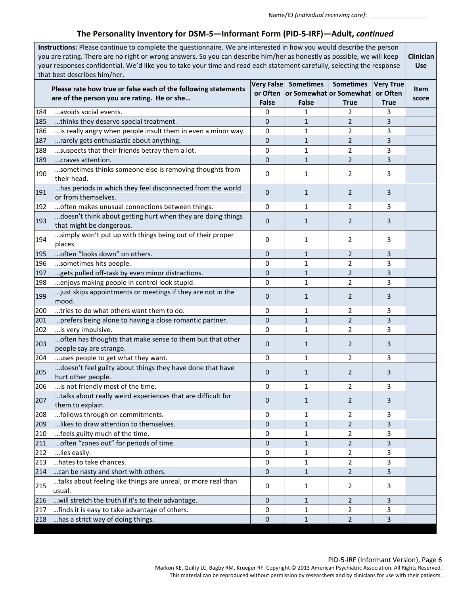# **The Personality Inventory for DSM-5—Informant Form (PID-5-IRF)—Adult,** *continued*

| Instructions: Please continue to complete the questionnaire. We are interested in how you would describe the person<br>you are rating. There are no right or wrong answers. So you can describe him/her as honestly as possible, we will keep<br>your responses confidential. We'd like you to take your time and read each statement carefully, selecting the response<br>that best describes him/her. |                                                                                                               |              |                                             |                                                                     |                                             |               |
|---------------------------------------------------------------------------------------------------------------------------------------------------------------------------------------------------------------------------------------------------------------------------------------------------------------------------------------------------------------------------------------------------------|---------------------------------------------------------------------------------------------------------------|--------------|---------------------------------------------|---------------------------------------------------------------------|---------------------------------------------|---------------|
|                                                                                                                                                                                                                                                                                                                                                                                                         | Please rate how true or false each of the following statements<br>are of the person you are rating. He or she | <b>False</b> | <b>Very False Sometimes</b><br><b>False</b> | <b>Sometimes</b><br>or Often or Somewhat or Somewhat<br><b>True</b> | <b>Very True</b><br>or Often<br><b>True</b> | Item<br>score |
| 184                                                                                                                                                                                                                                                                                                                                                                                                     | avoids social events.                                                                                         | 0            | 1                                           | 2                                                                   | 3                                           |               |
| 185                                                                                                                                                                                                                                                                                                                                                                                                     | thinks they deserve special treatment.                                                                        | 0            | $\mathbf{1}$                                | $\overline{2}$                                                      | 3                                           |               |
| 186                                                                                                                                                                                                                                                                                                                                                                                                     | is really angry when people insult them in even a minor way.                                                  | 0            | 1                                           | 2                                                                   | 3                                           |               |
| 187                                                                                                                                                                                                                                                                                                                                                                                                     | rarely gets enthusiastic about anything.                                                                      | $\mathbf{0}$ | $\mathbf{1}$                                | $\overline{2}$                                                      | 3                                           |               |
| 188                                                                                                                                                                                                                                                                                                                                                                                                     | suspects that their friends betray them a lot.                                                                | 0            | $\mathbf{1}$                                | 2                                                                   | 3                                           |               |
| 189                                                                                                                                                                                                                                                                                                                                                                                                     | craves attention.                                                                                             | $\mathbf{0}$ | $\mathbf{1}$                                | 2                                                                   | 3                                           |               |
| 190                                                                                                                                                                                                                                                                                                                                                                                                     | sometimes thinks someone else is removing thoughts from<br>their head.                                        | 0            | 1                                           | 2                                                                   | 3                                           |               |
| 191                                                                                                                                                                                                                                                                                                                                                                                                     | has periods in which they feel disconnected from the world<br>or from themselves.                             | $\mathbf{0}$ | 1                                           | 2                                                                   | 3                                           |               |
| 192                                                                                                                                                                                                                                                                                                                                                                                                     | often makes unusual connections between things.                                                               | 0            | 1                                           | 2                                                                   | 3                                           |               |
| 193                                                                                                                                                                                                                                                                                                                                                                                                     | doesn't think about getting hurt when they are doing things<br>that might be dangerous.                       | 0            | 1                                           | 2                                                                   | 3                                           |               |
| 194                                                                                                                                                                                                                                                                                                                                                                                                     | simply won't put up with things being out of their proper<br>places.                                          | 0            | 1                                           | 2                                                                   | 3                                           |               |
| 195                                                                                                                                                                                                                                                                                                                                                                                                     | often "looks down" on others.                                                                                 | 0            | $\mathbf{1}$                                | 2                                                                   | 3                                           |               |
| 196                                                                                                                                                                                                                                                                                                                                                                                                     | sometimes hits people.                                                                                        | 0            | 1                                           | 2                                                                   | 3                                           |               |
| 197                                                                                                                                                                                                                                                                                                                                                                                                     | gets pulled off-task by even minor distractions.                                                              | $\mathbf{0}$ | $\mathbf{1}$                                | 2                                                                   | 3                                           |               |
| 198                                                                                                                                                                                                                                                                                                                                                                                                     | enjoys making people in control look stupid.                                                                  | 0            | 1                                           | 2                                                                   | 3                                           |               |
| 199                                                                                                                                                                                                                                                                                                                                                                                                     | just skips appointments or meetings if they are not in the<br>mood.                                           | 0            | 1                                           | 2                                                                   | 3                                           |               |
| 200                                                                                                                                                                                                                                                                                                                                                                                                     | tries to do what others want them to do.                                                                      | 0            | 1                                           | 2                                                                   | 3                                           |               |
| 201                                                                                                                                                                                                                                                                                                                                                                                                     | prefers being alone to having a close romantic partner.                                                       | 0            | $\mathbf{1}$                                | $\overline{2}$                                                      | 3                                           |               |
| 202                                                                                                                                                                                                                                                                                                                                                                                                     | is very impulsive.                                                                                            | $\mathbf 0$  | 1                                           | 2                                                                   | 3                                           |               |
| 203                                                                                                                                                                                                                                                                                                                                                                                                     | often has thoughts that make sense to them but that other<br>people say are strange.                          | 0            | $\mathbf{1}$                                | 2                                                                   | 3                                           |               |
| 204                                                                                                                                                                                                                                                                                                                                                                                                     | uses people to get what they want.                                                                            | 0            | 1                                           | 2                                                                   | 3                                           |               |
| 205                                                                                                                                                                                                                                                                                                                                                                                                     | doesn't feel guilty about things they have done that have<br>hurt other people.                               | 0            | 1                                           | $\overline{2}$                                                      | 3                                           |               |
| 206                                                                                                                                                                                                                                                                                                                                                                                                     | is not friendly most of the time.                                                                             | 0            | 1                                           | $\overline{2}$                                                      | 3                                           |               |
| 207                                                                                                                                                                                                                                                                                                                                                                                                     | talks about really weird experiences that are difficult for<br>them to explain.                               | 0            | $\mathbf{1}$                                | 2                                                                   | 3                                           |               |
| 208                                                                                                                                                                                                                                                                                                                                                                                                     | follows through on commitments.                                                                               | 0            | 1                                           | 2                                                                   | 3                                           |               |
| 209                                                                                                                                                                                                                                                                                                                                                                                                     | likes to draw attention to themselves.                                                                        | $\mathbf{0}$ | $\mathbf{1}$                                | $\overline{2}$                                                      | 3                                           |               |
| 210                                                                                                                                                                                                                                                                                                                                                                                                     | feels guilty much of the time.                                                                                | 0            | 1                                           | 2                                                                   | 3                                           |               |
| 211                                                                                                                                                                                                                                                                                                                                                                                                     | often "zones out" for periods of time.                                                                        | 0            | $\mathbf{1}$                                | 2                                                                   | 3                                           |               |
| 212                                                                                                                                                                                                                                                                                                                                                                                                     | lies easily.                                                                                                  | 0            | 1                                           | 2                                                                   | 3                                           |               |
| 213                                                                                                                                                                                                                                                                                                                                                                                                     | hates to take chances.                                                                                        | 0            | $\mathbf{1}$                                | 2                                                                   | 3                                           |               |
| 214                                                                                                                                                                                                                                                                                                                                                                                                     | can be nasty and short with others.                                                                           | $\mathbf{0}$ | $\mathbf{1}$                                | $\overline{2}$                                                      | 3                                           |               |
| 215                                                                                                                                                                                                                                                                                                                                                                                                     | talks about feeling like things are unreal, or more real than<br>usual.                                       | 0            | 1                                           | 2                                                                   | 3                                           |               |
| 216                                                                                                                                                                                                                                                                                                                                                                                                     | will stretch the truth if it's to their advantage.                                                            | 0            | $\mathbf{1}$                                | $\overline{2}$                                                      | 3                                           |               |
| 217                                                                                                                                                                                                                                                                                                                                                                                                     | finds it is easy to take advantage of others.                                                                 | 0            | 1                                           | $\overline{2}$                                                      | 3                                           |               |
| 218                                                                                                                                                                                                                                                                                                                                                                                                     | has a strict way of doing things.                                                                             | $\pmb{0}$    | $\mathbf{1}$                                | $\overline{2}$                                                      | 3                                           |               |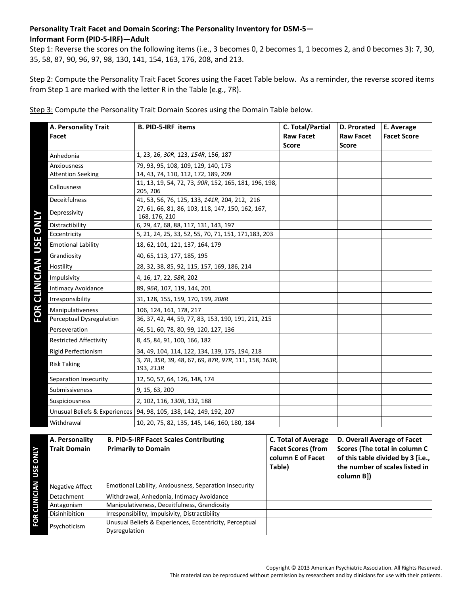# **Personality Trait Facet and Domain Scoring: The Personality Inventory for DSM-5— Informant Form (PID-5-IRF)—Adult**

Step 1: Reverse the scores on the following items (i.e., 3 becomes 0, 2 becomes 1, 1 becomes 2, and 0 becomes 3): 7, 30, 35, 58, 87, 90, 96, 97, 98, 130, 141, 154, 163, 176, 208, and 213.

Step 2: Compute the Personality Trait Facet Scores using the Facet Table below. As a reminder, the reverse scored items from Step 1 are marked with the letter R in the Table (e.g., 7R).

| A. Personality Trait<br>Facet | <b>B. PID-5-IRF items</b>                                            | C. Total/Partial<br><b>Raw Facet</b><br><b>Score</b> | D. Prorated<br><b>Raw Facet</b><br><b>Score</b> | E. Average<br><b>Facet Score</b> |
|-------------------------------|----------------------------------------------------------------------|------------------------------------------------------|-------------------------------------------------|----------------------------------|
| Anhedonia                     | 1, 23, 26, 30R, 123, 154R, 156, 187                                  |                                                      |                                                 |                                  |
| Anxiousness                   | 79, 93, 95, 108, 109, 129, 140, 173                                  |                                                      |                                                 |                                  |
| <b>Attention Seeking</b>      | 14, 43, 74, 110, 112, 172, 189, 209                                  |                                                      |                                                 |                                  |
| Callousness                   | 11, 13, 19, 54, 72, 73, 90R, 152, 165, 181, 196, 198,<br>205, 206    |                                                      |                                                 |                                  |
| <b>Deceitfulness</b>          | 41, 53, 56, 76, 125, 133, 141R, 204, 212, 216                        |                                                      |                                                 |                                  |
| Depressivity                  | 27, 61, 66, 81, 86, 103, 118, 147, 150, 162, 167,<br>168, 176, 210   |                                                      |                                                 |                                  |
| Distractibility               | 6, 29, 47, 68, 88, 117, 131, 143, 197                                |                                                      |                                                 |                                  |
| Eccentricity                  | 5, 21, 24, 25, 33, 52, 55, 70, 71, 151, 171, 183, 203                |                                                      |                                                 |                                  |
| <b>Emotional Lability</b>     | 18, 62, 101, 121, 137, 164, 179                                      |                                                      |                                                 |                                  |
| Grandiosity                   | 40, 65, 113, 177, 185, 195                                           |                                                      |                                                 |                                  |
| Hostility                     | 28, 32, 38, 85, 92, 115, 157, 169, 186, 214                          |                                                      |                                                 |                                  |
| Impulsivity                   | 4, 16, 17, 22, 58R, 202                                              |                                                      |                                                 |                                  |
| Intimacy Avoidance            | 89, 96R, 107, 119, 144, 201                                          |                                                      |                                                 |                                  |
| Irresponsibility              | 31, 128, 155, 159, 170, 199, 208R                                    |                                                      |                                                 |                                  |
| Manipulativeness              | 106, 124, 161, 178, 217                                              |                                                      |                                                 |                                  |
| Perceptual Dysregulation      | 36, 37, 42, 44, 59, 77, 83, 153, 190, 191, 211, 215                  |                                                      |                                                 |                                  |
| Perseveration                 | 46, 51, 60, 78, 80, 99, 120, 127, 136                                |                                                      |                                                 |                                  |
| <b>Restricted Affectivity</b> | 8, 45, 84, 91, 100, 166, 182                                         |                                                      |                                                 |                                  |
| Rigid Perfectionism           | 34, 49, 104, 114, 122, 134, 139, 175, 194, 218                       |                                                      |                                                 |                                  |
| <b>Risk Taking</b>            | 3, 7R, 35R, 39, 48, 67, 69, 87R, 97R, 111, 158, 163R,<br>193, 213R   |                                                      |                                                 |                                  |
| Separation Insecurity         | 12, 50, 57, 64, 126, 148, 174                                        |                                                      |                                                 |                                  |
| Submissiveness                | 9, 15, 63, 200                                                       |                                                      |                                                 |                                  |
| Suspiciousness                | 2, 102, 116, 130R, 132, 188                                          |                                                      |                                                 |                                  |
|                               | Unusual Beliefs & Experiences   94, 98, 105, 138, 142, 149, 192, 207 |                                                      |                                                 |                                  |
| Withdrawal                    | 10, 20, 75, 82, 135, 145, 146, 160, 180, 184                         |                                                      |                                                 |                                  |

Step 3: Compute the Personality Trait Domain Scores using the Domain Table below.

| <b>ATNO</b><br>USE | A. Personality<br><b>Trait Domain</b> | <b>B. PID-5-IRF Facet Scales Contributing</b><br><b>Primarily to Domain</b> | <b>C. Total of Average</b><br><b>Facet Scores (from</b><br>column E of Facet<br>Table) | D. Overall Average of Facet<br>Scores (The total in column C<br>of this table divided by 3 [i.e.,<br>the number of scales listed in<br>column B]) |
|--------------------|---------------------------------------|-----------------------------------------------------------------------------|----------------------------------------------------------------------------------------|---------------------------------------------------------------------------------------------------------------------------------------------------|
| Ę                  | <b>Negative Affect</b>                | Emotional Lability, Anxiousness, Separation Insecurity                      |                                                                                        |                                                                                                                                                   |
| CLINICI,           | Detachment                            | Withdrawal, Anhedonia, Intimacy Avoidance                                   |                                                                                        |                                                                                                                                                   |
|                    | Antagonism                            | Manipulativeness, Deceitfulness, Grandiosity                                |                                                                                        |                                                                                                                                                   |
|                    | Disinhibition                         | Irresponsibility, Impulsivity, Distractibility                              |                                                                                        |                                                                                                                                                   |
| FOR                | Psychoticism                          | Unusual Beliefs & Experiences, Eccentricity, Perceptual<br>Dysregulation    |                                                                                        |                                                                                                                                                   |